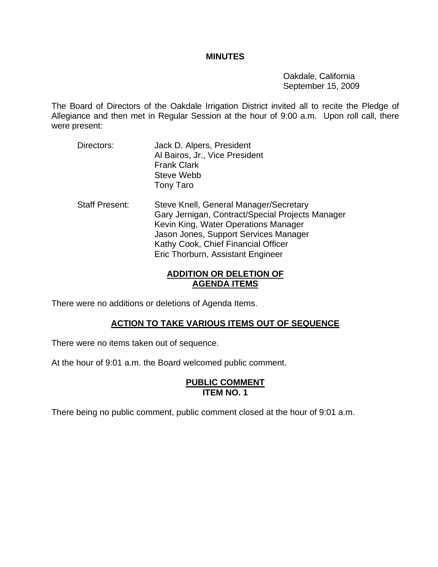#### **MINUTES**

 Oakdale, California September 15, 2009

The Board of Directors of the Oakdale Irrigation District invited all to recite the Pledge of Allegiance and then met in Regular Session at the hour of 9:00 a.m. Upon roll call, there were present:

- Directors: Jack D. Alpers, President Al Bairos, Jr., Vice President Frank Clark Steve Webb Tony Taro
- Staff Present: Steve Knell, General Manager/Secretary Gary Jernigan, Contract/Special Projects Manager Kevin King, Water Operations Manager Jason Jones, Support Services Manager Kathy Cook, Chief Financial Officer Eric Thorburn, Assistant Engineer

# **ADDITION OR DELETION OF AGENDA ITEMS**

There were no additions or deletions of Agenda Items.

# **ACTION TO TAKE VARIOUS ITEMS OUT OF SEQUENCE**

There were no items taken out of sequence.

At the hour of 9:01 a.m. the Board welcomed public comment.

#### **PUBLIC COMMENT ITEM NO. 1**

There being no public comment, public comment closed at the hour of 9:01 a.m.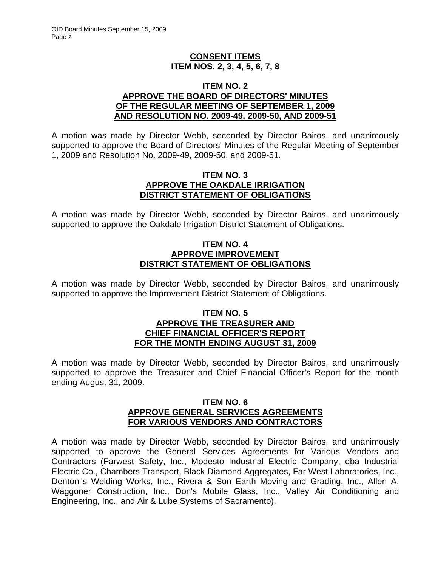# **CONSENT ITEMS ITEM NOS. 2, 3, 4, 5, 6, 7, 8**

#### **ITEM NO. 2 APPROVE THE BOARD OF DIRECTORS' MINUTES OF THE REGULAR MEETING OF SEPTEMBER 1, 2009 AND RESOLUTION NO. 2009-49, 2009-50, AND 2009-51**

A motion was made by Director Webb, seconded by Director Bairos, and unanimously supported to approve the Board of Directors' Minutes of the Regular Meeting of September 1, 2009 and Resolution No. 2009-49, 2009-50, and 2009-51.

#### **ITEM NO. 3 APPROVE THE OAKDALE IRRIGATION DISTRICT STATEMENT OF OBLIGATIONS**

A motion was made by Director Webb, seconded by Director Bairos, and unanimously supported to approve the Oakdale Irrigation District Statement of Obligations.

## **ITEM NO. 4 APPROVE IMPROVEMENT DISTRICT STATEMENT OF OBLIGATIONS**

A motion was made by Director Webb, seconded by Director Bairos, and unanimously supported to approve the Improvement District Statement of Obligations.

#### **ITEM NO. 5 APPROVE THE TREASURER AND CHIEF FINANCIAL OFFICER'S REPORT FOR THE MONTH ENDING AUGUST 31, 2009**

A motion was made by Director Webb, seconded by Director Bairos, and unanimously supported to approve the Treasurer and Chief Financial Officer's Report for the month ending August 31, 2009.

## **ITEM NO. 6 APPROVE GENERAL SERVICES AGREEMENTS FOR VARIOUS VENDORS AND CONTRACTORS**

A motion was made by Director Webb, seconded by Director Bairos, and unanimously supported to approve the General Services Agreements for Various Vendors and Contractors (Farwest Safety, Inc., Modesto Industrial Electric Company, dba Industrial Electric Co., Chambers Transport, Black Diamond Aggregates, Far West Laboratories, Inc., Dentoni's Welding Works, Inc., Rivera & Son Earth Moving and Grading, Inc., Allen A. Waggoner Construction, Inc., Don's Mobile Glass, Inc., Valley Air Conditioning and Engineering, Inc., and Air & Lube Systems of Sacramento).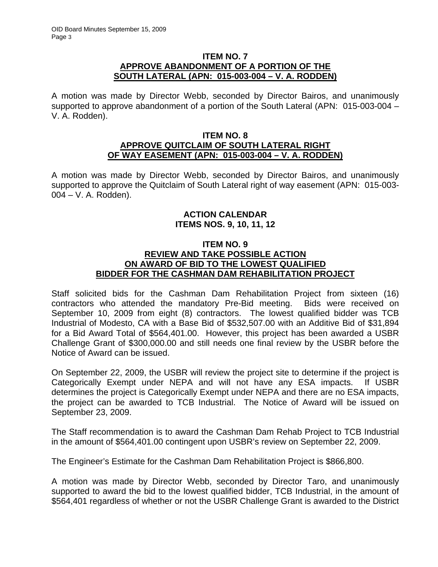#### **ITEM NO. 7 APPROVE ABANDONMENT OF A PORTION OF THE SOUTH LATERAL (APN: 015-003-004 – V. A. RODDEN)**

A motion was made by Director Webb, seconded by Director Bairos, and unanimously supported to approve abandonment of a portion of the South Lateral (APN: 015-003-004 – V. A. Rodden).

#### **ITEM NO. 8 APPROVE QUITCLAIM OF SOUTH LATERAL RIGHT OF WAY EASEMENT (APN: 015-003-004 – V. A. RODDEN)**

A motion was made by Director Webb, seconded by Director Bairos, and unanimously supported to approve the Quitclaim of South Lateral right of way easement (APN: 015-003- 004 – V. A. Rodden).

# **ACTION CALENDAR ITEMS NOS. 9, 10, 11, 12**

## **ITEM NO. 9 REVIEW AND TAKE POSSIBLE ACTION ON AWARD OF BID TO THE LOWEST QUALIFIED BIDDER FOR THE CASHMAN DAM REHABILITATION PROJECT**

Staff solicited bids for the Cashman Dam Rehabilitation Project from sixteen (16) contractors who attended the mandatory Pre-Bid meeting. Bids were received on September 10, 2009 from eight (8) contractors. The lowest qualified bidder was TCB Industrial of Modesto, CA with a Base Bid of \$532,507.00 with an Additive Bid of \$31,894 for a Bid Award Total of \$564,401.00. However, this project has been awarded a USBR Challenge Grant of \$300,000.00 and still needs one final review by the USBR before the Notice of Award can be issued.

On September 22, 2009, the USBR will review the project site to determine if the project is Categorically Exempt under NEPA and will not have any ESA impacts. If USBR determines the project is Categorically Exempt under NEPA and there are no ESA impacts, the project can be awarded to TCB Industrial. The Notice of Award will be issued on September 23, 2009.

The Staff recommendation is to award the Cashman Dam Rehab Project to TCB Industrial in the amount of \$564,401.00 contingent upon USBR's review on September 22, 2009.

The Engineer's Estimate for the Cashman Dam Rehabilitation Project is \$866,800.

A motion was made by Director Webb, seconded by Director Taro, and unanimously supported to award the bid to the lowest qualified bidder, TCB Industrial, in the amount of \$564,401 regardless of whether or not the USBR Challenge Grant is awarded to the District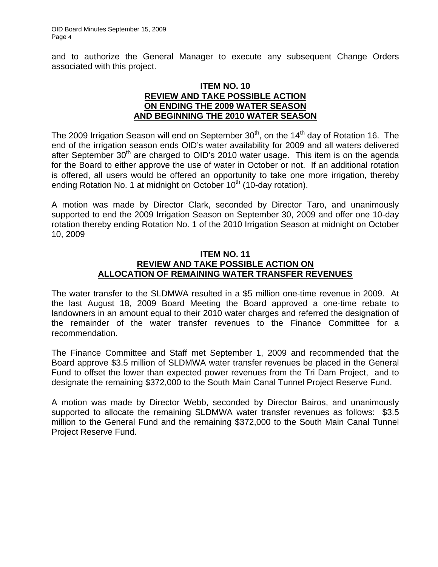and to authorize the General Manager to execute any subsequent Change Orders associated with this project.

#### **ITEM NO. 10 REVIEW AND TAKE POSSIBLE ACTION ON ENDING THE 2009 WATER SEASON AND BEGINNING THE 2010 WATER SEASON**

The 2009 Irrigation Season will end on September  $30<sup>th</sup>$ , on the  $14<sup>th</sup>$  day of Rotation 16. The end of the irrigation season ends OID's water availability for 2009 and all waters delivered after September  $30<sup>th</sup>$  are charged to OID's 2010 water usage. This item is on the agenda for the Board to either approve the use of water in October or not. If an additional rotation is offered, all users would be offered an opportunity to take one more irrigation, thereby ending Rotation No. 1 at midnight on October  $10<sup>th</sup>$  (10-day rotation).

A motion was made by Director Clark, seconded by Director Taro, and unanimously supported to end the 2009 Irrigation Season on September 30, 2009 and offer one 10-day rotation thereby ending Rotation No. 1 of the 2010 Irrigation Season at midnight on October 10, 2009

## **ITEM NO. 11 REVIEW AND TAKE POSSIBLE ACTION ON ALLOCATION OF REMAINING WATER TRANSFER REVENUES**

The water transfer to the SLDMWA resulted in a \$5 million one-time revenue in 2009. At the last August 18, 2009 Board Meeting the Board approved a one-time rebate to landowners in an amount equal to their 2010 water charges and referred the designation of the remainder of the water transfer revenues to the Finance Committee for a recommendation.

The Finance Committee and Staff met September 1, 2009 and recommended that the Board approve \$3.5 million of SLDMWA water transfer revenues be placed in the General Fund to offset the lower than expected power revenues from the Tri Dam Project, and to designate the remaining \$372,000 to the South Main Canal Tunnel Project Reserve Fund.

A motion was made by Director Webb, seconded by Director Bairos, and unanimously supported to allocate the remaining SLDMWA water transfer revenues as follows: \$3.5 million to the General Fund and the remaining \$372,000 to the South Main Canal Tunnel Project Reserve Fund.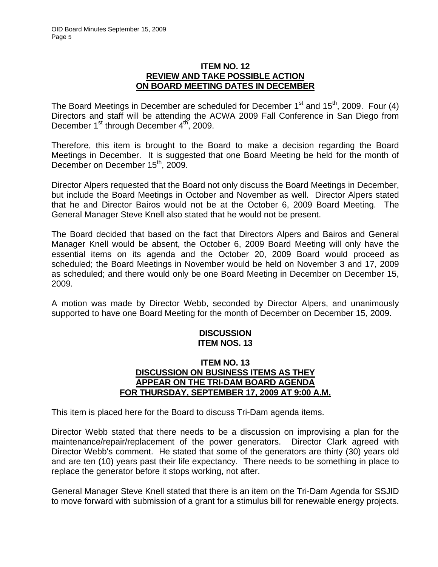#### **ITEM NO. 12 REVIEW AND TAKE POSSIBLE ACTION ON BOARD MEETING DATES IN DECEMBER**

The Board Meetings in December are scheduled for December  $1<sup>st</sup>$  and  $15<sup>th</sup>$ , 2009. Four (4) Directors and staff will be attending the ACWA 2009 Fall Conference in San Diego from December 1<sup>st</sup> through December 4<sup>th</sup>, 2009.

Therefore, this item is brought to the Board to make a decision regarding the Board Meetings in December. It is suggested that one Board Meeting be held for the month of December on December 15<sup>th</sup>, 2009.

Director Alpers requested that the Board not only discuss the Board Meetings in December, but include the Board Meetings in October and November as well. Director Alpers stated that he and Director Bairos would not be at the October 6, 2009 Board Meeting. The General Manager Steve Knell also stated that he would not be present.

The Board decided that based on the fact that Directors Alpers and Bairos and General Manager Knell would be absent, the October 6, 2009 Board Meeting will only have the essential items on its agenda and the October 20, 2009 Board would proceed as scheduled; the Board Meetings in November would be held on November 3 and 17, 2009 as scheduled; and there would only be one Board Meeting in December on December 15, 2009.

A motion was made by Director Webb, seconded by Director Alpers, and unanimously supported to have one Board Meeting for the month of December on December 15, 2009.

# **DISCUSSION ITEM NOS. 13**

## **ITEM NO. 13 DISCUSSION ON BUSINESS ITEMS AS THEY APPEAR ON THE TRI-DAM BOARD AGENDA FOR THURSDAY, SEPTEMBER 17, 2009 AT 9:00 A.M.**

This item is placed here for the Board to discuss Tri-Dam agenda items.

Director Webb stated that there needs to be a discussion on improvising a plan for the maintenance/repair/replacement of the power generators. Director Clark agreed with Director Webb's comment. He stated that some of the generators are thirty (30) years old and are ten (10) years past their life expectancy. There needs to be something in place to replace the generator before it stops working, not after.

General Manager Steve Knell stated that there is an item on the Tri-Dam Agenda for SSJID to move forward with submission of a grant for a stimulus bill for renewable energy projects.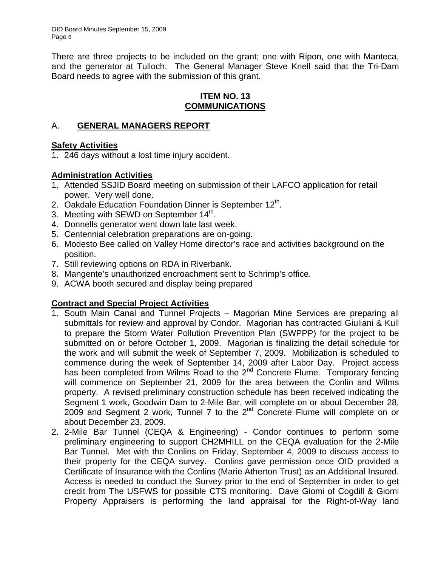OID Board Minutes September 15, 2009 Page 6

There are three projects to be included on the grant; one with Ripon, one with Manteca, and the generator at Tulloch. The General Manager Steve Knell said that the Tri-Dam Board needs to agree with the submission of this grant.

## **ITEM NO. 13 COMMUNICATIONS**

# A. **GENERAL MANAGERS REPORT**

# **Safety Activities**

1. 246 days without a lost time injury accident.

# **Administration Activities**

- 1. Attended SSJID Board meeting on submission of their LAFCO application for retail power. Very well done.
- 2. Oakdale Education Foundation Dinner is September  $12<sup>th</sup>$ .
- 3. Meeting with SEWD on September  $14<sup>th</sup>$ .
- 4. Donnells generator went down late last week.
- 5. Centennial celebration preparations are on-going.
- 6. Modesto Bee called on Valley Home director's race and activities background on the position.
- 7. Still reviewing options on RDA in Riverbank.
- 8. Mangente's unauthorized encroachment sent to Schrimp's office.
- 9. ACWA booth secured and display being prepared

# **Contract and Special Project Activities**

- 1. South Main Canal and Tunnel Projects Magorian Mine Services are preparing all submittals for review and approval by Condor. Magorian has contracted Giuliani & Kull to prepare the Storm Water Pollution Prevention Plan (SWPPP) for the project to be submitted on or before October 1, 2009. Magorian is finalizing the detail schedule for the work and will submit the week of September 7, 2009. Mobilization is scheduled to commence during the week of September 14, 2009 after Labor Day. Project access has been completed from Wilms Road to the 2<sup>nd</sup> Concrete Flume. Temporary fencing will commence on September 21, 2009 for the area between the Conlin and Wilms property. A revised preliminary construction schedule has been received indicating the Segment 1 work, Goodwin Dam to 2-Mile Bar, will complete on or about December 28, 2009 and Segment 2 work, Tunnel 7 to the  $2^{nd}$  Concrete Flume will complete on or about December 23, 2009.
- 2. 2-Mile Bar Tunnel (CEQA & Engineering) Condor continues to perform some preliminary engineering to support CH2MHILL on the CEQA evaluation for the 2-Mile Bar Tunnel. Met with the Conlins on Friday, September 4, 2009 to discuss access to their property for the CEQA survey. Conlins gave permission once OID provided a Certificate of Insurance with the Conlins (Marie Atherton Trust) as an Additional Insured. Access is needed to conduct the Survey prior to the end of September in order to get credit from The USFWS for possible CTS monitoring. Dave Giomi of Cogdill & Giomi Property Appraisers is performing the land appraisal for the Right-of-Way land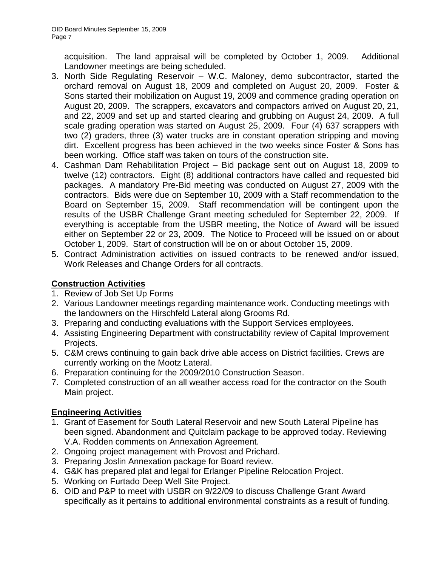acquisition. The land appraisal will be completed by October 1, 2009. Additional Landowner meetings are being scheduled.

- 3. North Side Regulating Reservoir W.C. Maloney, demo subcontractor, started the orchard removal on August 18, 2009 and completed on August 20, 2009. Foster & Sons started their mobilization on August 19, 2009 and commence grading operation on August 20, 2009. The scrappers, excavators and compactors arrived on August 20, 21, and 22, 2009 and set up and started clearing and grubbing on August 24, 2009. A full scale grading operation was started on August 25, 2009. Four (4) 637 scrappers with two (2) graders, three (3) water trucks are in constant operation stripping and moving dirt. Excellent progress has been achieved in the two weeks since Foster & Sons has been working. Office staff was taken on tours of the construction site.
- 4. Cashman Dam Rehabilitation Project Bid package sent out on August 18, 2009 to twelve (12) contractors. Eight (8) additional contractors have called and requested bid packages. A mandatory Pre-Bid meeting was conducted on August 27, 2009 with the contractors. Bids were due on September 10, 2009 with a Staff recommendation to the Board on September 15, 2009. Staff recommendation will be contingent upon the results of the USBR Challenge Grant meeting scheduled for September 22, 2009. If everything is acceptable from the USBR meeting, the Notice of Award will be issued either on September 22 or 23, 2009. The Notice to Proceed will be issued on or about October 1, 2009. Start of construction will be on or about October 15, 2009.
- 5. Contract Administration activities on issued contracts to be renewed and/or issued, Work Releases and Change Orders for all contracts.

# **Construction Activities**

- 1. Review of Job Set Up Forms
- 2. Various Landowner meetings regarding maintenance work. Conducting meetings with the landowners on the Hirschfeld Lateral along Grooms Rd.
- 3. Preparing and conducting evaluations with the Support Services employees.
- 4. Assisting Engineering Department with constructability review of Capital Improvement Projects.
- 5. C&M crews continuing to gain back drive able access on District facilities. Crews are currently working on the Mootz Lateral.
- 6. Preparation continuing for the 2009/2010 Construction Season.
- 7. Completed construction of an all weather access road for the contractor on the South Main project.

# **Engineering Activities**

- 1. Grant of Easement for South Lateral Reservoir and new South Lateral Pipeline has been signed. Abandonment and Quitclaim package to be approved today. Reviewing V.A. Rodden comments on Annexation Agreement.
- 2. Ongoing project management with Provost and Prichard.
- 3. Preparing Joslin Annexation package for Board review.
- 4. G&K has prepared plat and legal for Erlanger Pipeline Relocation Project.
- 5. Working on Furtado Deep Well Site Project.
- 6. OID and P&P to meet with USBR on 9/22/09 to discuss Challenge Grant Award specifically as it pertains to additional environmental constraints as a result of funding.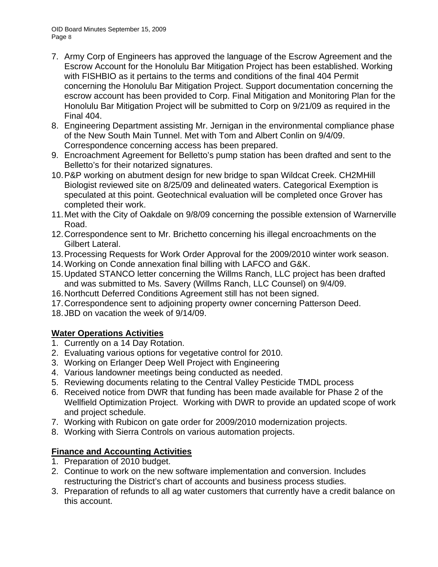OID Board Minutes September 15, 2009 Page 8

- 7. Army Corp of Engineers has approved the language of the Escrow Agreement and the Escrow Account for the Honolulu Bar Mitigation Project has been established. Working with FISHBIO as it pertains to the terms and conditions of the final 404 Permit concerning the Honolulu Bar Mitigation Project. Support documentation concerning the escrow account has been provided to Corp. Final Mitigation and Monitoring Plan for the Honolulu Bar Mitigation Project will be submitted to Corp on 9/21/09 as required in the Final 404.
- 8. Engineering Department assisting Mr. Jernigan in the environmental compliance phase of the New South Main Tunnel. Met with Tom and Albert Conlin on 9/4/09. Correspondence concerning access has been prepared.
- 9. Encroachment Agreement for Belletto's pump station has been drafted and sent to the Belletto's for their notarized signatures.
- 10. P&P working on abutment design for new bridge to span Wildcat Creek. CH2MHill Biologist reviewed site on 8/25/09 and delineated waters. Categorical Exemption is speculated at this point. Geotechnical evaluation will be completed once Grover has completed their work.
- 11. Met with the City of Oakdale on 9/8/09 concerning the possible extension of Warnerville Road.
- 12. Correspondence sent to Mr. Brichetto concerning his illegal encroachments on the Gilbert Lateral.
- 13. Processing Requests for Work Order Approval for the 2009/2010 winter work season.
- 14. Working on Conde annexation final billing with LAFCO and G&K.
- 15. Updated STANCO letter concerning the Willms Ranch, LLC project has been drafted and was submitted to Ms. Savery (Willms Ranch, LLC Counsel) on 9/4/09.
- 16. Northcutt Deferred Conditions Agreement still has not been signed.
- 17. Correspondence sent to adjoining property owner concerning Patterson Deed.
- 18. JBD on vacation the week of 9/14/09.

# **Water Operations Activities**

- 1. Currently on a 14 Day Rotation.
- 2. Evaluating various options for vegetative control for 2010.
- 3. Working on Erlanger Deep Well Project with Engineering
- 4. Various landowner meetings being conducted as needed.
- 5. Reviewing documents relating to the Central Valley Pesticide TMDL process
- 6. Received notice from DWR that funding has been made available for Phase 2 of the Wellfield Optimization Project. Working with DWR to provide an updated scope of work and project schedule.
- 7. Working with Rubicon on gate order for 2009/2010 modernization projects.
- 8. Working with Sierra Controls on various automation projects.

# **Finance and Accounting Activities**

- 1. Preparation of 2010 budget.
- 2. Continue to work on the new software implementation and conversion. Includes restructuring the District's chart of accounts and business process studies.
- 3. Preparation of refunds to all ag water customers that currently have a credit balance on this account.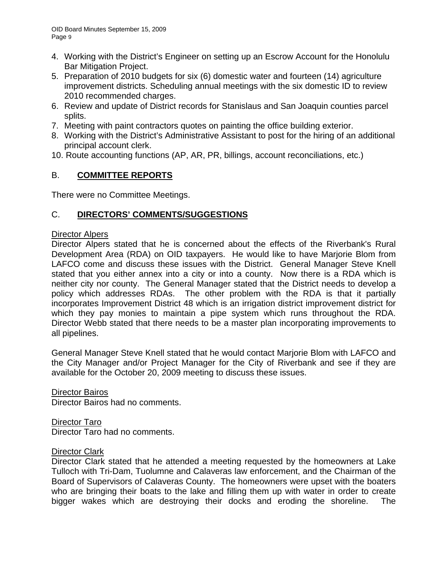- 4. Working with the District's Engineer on setting up an Escrow Account for the Honolulu Bar Mitigation Project.
- 5. Preparation of 2010 budgets for six (6) domestic water and fourteen (14) agriculture improvement districts. Scheduling annual meetings with the six domestic ID to review 2010 recommended charges.
- 6. Review and update of District records for Stanislaus and San Joaquin counties parcel splits.
- 7. Meeting with paint contractors quotes on painting the office building exterior.
- 8. Working with the District's Administrative Assistant to post for the hiring of an additional principal account clerk.
- 10. Route accounting functions (AP, AR, PR, billings, account reconciliations, etc.)

# B. **COMMITTEE REPORTS**

There were no Committee Meetings.

# C. **DIRECTORS' COMMENTS/SUGGESTIONS**

#### Director Alpers

Director Alpers stated that he is concerned about the effects of the Riverbank's Rural Development Area (RDA) on OID taxpayers. He would like to have Marjorie Blom from LAFCO come and discuss these issues with the District. General Manager Steve Knell stated that you either annex into a city or into a county. Now there is a RDA which is neither city nor county. The General Manager stated that the District needs to develop a policy which addresses RDAs. The other problem with the RDA is that it partially incorporates Improvement District 48 which is an irrigation district improvement district for which they pay monies to maintain a pipe system which runs throughout the RDA. Director Webb stated that there needs to be a master plan incorporating improvements to all pipelines.

General Manager Steve Knell stated that he would contact Marjorie Blom with LAFCO and the City Manager and/or Project Manager for the City of Riverbank and see if they are available for the October 20, 2009 meeting to discuss these issues.

Director Bairos Director Bairos had no comments.

Director Taro Director Taro had no comments.

#### Director Clark

Director Clark stated that he attended a meeting requested by the homeowners at Lake Tulloch with Tri-Dam, Tuolumne and Calaveras law enforcement, and the Chairman of the Board of Supervisors of Calaveras County. The homeowners were upset with the boaters who are bringing their boats to the lake and filling them up with water in order to create bigger wakes which are destroying their docks and eroding the shoreline. The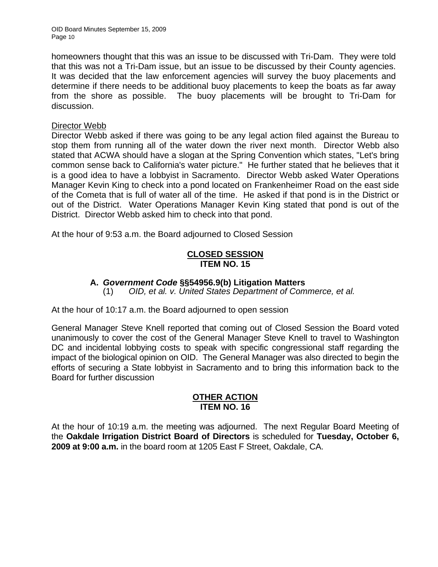OID Board Minutes September 15, 2009 Page 10

homeowners thought that this was an issue to be discussed with Tri-Dam. They were told that this was not a Tri-Dam issue, but an issue to be discussed by their County agencies. It was decided that the law enforcement agencies will survey the buoy placements and determine if there needs to be additional buoy placements to keep the boats as far away from the shore as possible. The buoy placements will be brought to Tri-Dam for discussion.

#### Director Webb

Director Webb asked if there was going to be any legal action filed against the Bureau to stop them from running all of the water down the river next month. Director Webb also stated that ACWA should have a slogan at the Spring Convention which states, "Let's bring common sense back to California's water picture." He further stated that he believes that it is a good idea to have a lobbyist in Sacramento. Director Webb asked Water Operations Manager Kevin King to check into a pond located on Frankenheimer Road on the east side of the Cometa that is full of water all of the time. He asked if that pond is in the District or out of the District. Water Operations Manager Kevin King stated that pond is out of the District. Director Webb asked him to check into that pond.

At the hour of 9:53 a.m. the Board adjourned to Closed Session

#### **CLOSED SESSION ITEM NO. 15**

#### **A.** *Government Code* **§§54956.9(b) Litigation Matters**

(1) *OID, et al. v. United States Department of Commerce, et al.* 

At the hour of 10:17 a.m. the Board adjourned to open session

General Manager Steve Knell reported that coming out of Closed Session the Board voted unanimously to cover the cost of the General Manager Steve Knell to travel to Washington DC and incidental lobbying costs to speak with specific congressional staff regarding the impact of the biological opinion on OID. The General Manager was also directed to begin the efforts of securing a State lobbyist in Sacramento and to bring this information back to the Board for further discussion

## **OTHER ACTION ITEM NO. 16**

At the hour of 10:19 a.m. the meeting was adjourned. The next Regular Board Meeting of the **Oakdale Irrigation District Board of Directors** is scheduled for **Tuesday, October 6, 2009 at 9:00 a.m.** in the board room at 1205 East F Street, Oakdale, CA.